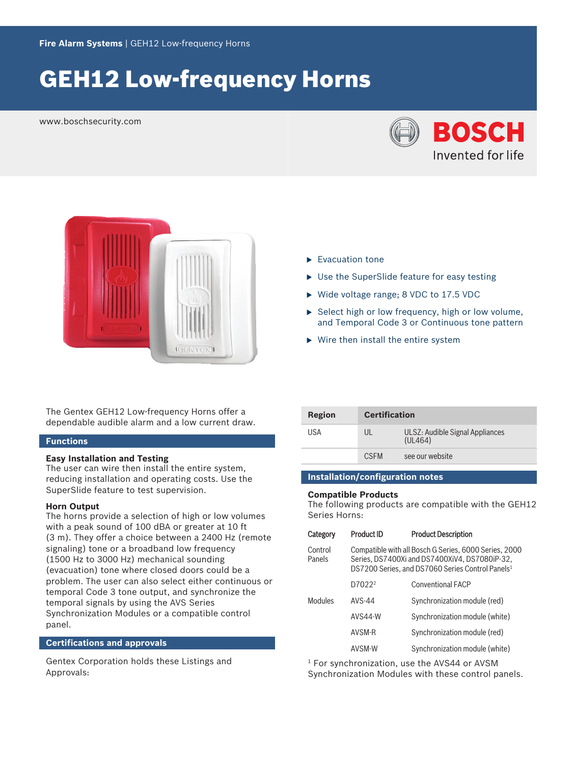# **GEH12 Low-frequency Horns**

www.boschsecurity.com





The Gentex GEH12 Low-frequency Horns offer a dependable audible alarm and a low current draw.

#### **Functions**

#### **Easy Installation and Testing**

The user can wire then install the entire system, reducing installation and operating costs. Use the SuperSlide feature to test supervision.

#### **Horn Output**

The horns provide a selection of high or low volumes with a peak sound of 100 dBA or greater at 10 ft (3 m). They offer a choice between a 2400 Hz (remote signaling) tone or a broadband low frequency (1500 Hz to 3000 Hz) mechanical sounding (evacuation) tone where closed doors could be a problem. The user can also select either continuous or temporal Code 3 tone output, and synchronize the temporal signals by using the AVS Series Synchronization Modules or a compatible control panel.

### **Certifications and approvals**

Gentex Corporation holds these Listings and Approvals:

- $\blacktriangleright$  Evacuation tone
- $\blacktriangleright$  Use the SuperSlide feature for easy testing
- $\triangleright$  Wide voltage range; 8 VDC to 17.5 VDC
- $\triangleright$  Select high or low frequency, high or low volume, and Temporal Code 3 or Continuous tone pattern
- $\triangleright$  Wire then install the entire system

| Region | <b>Certification</b> |                                            |
|--------|----------------------|--------------------------------------------|
| USA    |                      | ULSZ: Audible Signal Appliances<br>(UL464) |
|        | <b>CSEM</b>          | see our website                            |

#### **Installation/configuration notes**

#### **Compatible Products**

The following products are compatible with the GEH12 Series Horns:

| Category          | <b>Product ID</b>                                                                                                                                                      | <b>Product Description</b>     |
|-------------------|------------------------------------------------------------------------------------------------------------------------------------------------------------------------|--------------------------------|
| Control<br>Panels | Compatible with all Bosch G Series, 6000 Series, 2000<br>Series, DS7400Xi and DS7400XiV4, DS7080iP-32,<br>DS7200 Series, and DS7060 Series Control Panels <sup>1</sup> |                                |
|                   | D7022 <sup>2</sup>                                                                                                                                                     | <b>Conventional FACP</b>       |
| Modules           | AVS-44                                                                                                                                                                 | Synchronization module (red)   |
|                   | AVS44-W                                                                                                                                                                | Synchronization module (white) |
|                   | AVSM-R                                                                                                                                                                 | Synchronization module (red)   |
|                   | AVSM-W                                                                                                                                                                 | Synchronization module (white) |

1 For synchronization, use the AVS44 or AVSM

Synchronization Modules with these control panels.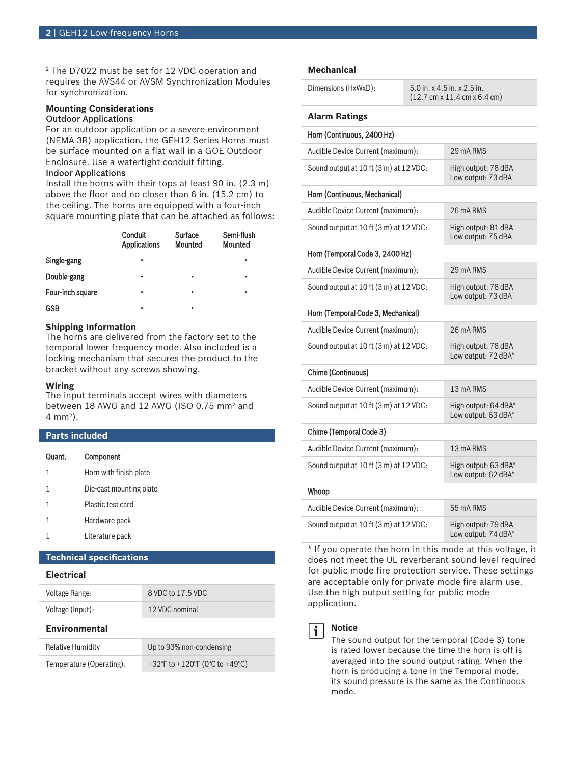2 The D7022 must be set for 12 VDC operation and requires the AVS44 or AVSM Synchronization Modules for synchronization.

#### **Mounting Considerations** Outdoor Applications

For an outdoor application or a severe environment (NEMA 3R) application, the GEH12 Series Horns must be surface mounted on a flat wall in a GOE Outdoor Enclosure. Use a watertight conduit fitting.

#### Indoor Applications

Install the horns with their tops at least 90 in. (2.3 m) above the floor and no closer than 6 in. (15.2 cm) to the ceiling. The horns are equipped with a four-inch square mounting plate that can be attached as follows:

|                  | <b>Conduit</b><br><b>Applications</b> | Surface<br><b>Mounted</b> | Semi-flush<br><b>Mounted</b> |
|------------------|---------------------------------------|---------------------------|------------------------------|
| Single-gang      | ٠                                     |                           | ٠                            |
| Double-gang      | ٠                                     | ٠                         | ٠                            |
| Four-inch square | ٠                                     | ٠                         | ٠                            |
| <b>GSB</b>       | ٠                                     |                           |                              |

#### **Shipping Information**

The horns are delivered from the factory set to the temporal lower frequency mode. Also included is a locking mechanism that secures the product to the bracket without any screws showing.

#### **Wiring**

The input terminals accept wires with diameters between 18 AWG and 12 AWG (ISO 0.75 mm<sup>2</sup> and 4 mm<sup>2</sup> ).

### **Parts included**

| Quant. | Component |
|--------|-----------|
|        |           |

- 1 Horn with finish plate
- 1 Die-cast mounting plate
- 1 Plastic test card
- 1 Hardware pack
- 1 Literature pack

### **Technical specifications**

#### **Electrical**

| Voltage Range:           | 8 VDC to 17.5 VDC        |  |
|--------------------------|--------------------------|--|
| Voltage (Input):         | 12 VDC nominal           |  |
| <b>Environmental</b>     |                          |  |
| <b>Relative Humidity</b> | Up to 93% non-condensing |  |

## Temperature (Operating): +32°F to +120°F (0°C to +49°C)

#### **Mechanical**

#### **Alarm Ratings**

| Horn (Continuous, 2400 Hz)             |                                             |
|----------------------------------------|---------------------------------------------|
| Audible Device Current (maximum):      | 29 mA RMS                                   |
| Sound output at 10 ft (3 m) at 12 VDC: | High output: 78 dBA<br>Low output: 73 dBA   |
| Horn (Continuous, Mechanical)          |                                             |
| Audible Device Current (maximum):      | 26 mA RMS                                   |
| Sound output at 10 ft (3 m) at 12 VDC: | High output: 81 dBA<br>Low output: 75 dBA   |
| Horn (Temporal Code 3, 2400 Hz)        |                                             |
| Audible Device Current (maximum):      | 29 mA RMS                                   |
| Sound output at 10 ft (3 m) at 12 VDC: | High output: 78 dBA<br>Low output: 73 dBA   |
| Horn (Temporal Code 3, Mechanical)     |                                             |
| Audible Device Current (maximum):      | 26 mA RMS                                   |
| Sound output at 10 ft (3 m) at 12 VDC: | High output: 78 dBA<br>Low output: 72 dBA*  |
| Chime (Continuous)                     |                                             |
| Audible Device Current (maximum):      | 13 mA RMS                                   |
| Sound output at 10 ft (3 m) at 12 VDC: | High output: 64 dBA*<br>Low output: 63 dBA* |
| Chime (Temporal Code 3)                |                                             |
| Audible Device Current (maximum):      | 13 mA RMS                                   |
| Sound output at 10 ft (3 m) at 12 VDC: | High output: 63 dBA*<br>Low output: 62 dBA* |
| Whoop                                  |                                             |
| Audible Device Current (maximum):      | 55 mA RMS                                   |
| Sound output at 10 ft (3 m) at 12 VDC: | High output: 79 dBA<br>Low output: 74 dBA*  |

\* If you operate the horn in this mode at this voltage, it does not meet the UL reverberant sound level required for public mode fire protection service. These settings are acceptable only for private mode fire alarm use. Use the high output setting for public mode application.



#### **Notice**

The sound output for the temporal (Code 3) tone is rated lower because the time the horn is off is averaged into the sound output rating. When the horn is producing a tone in the Temporal mode, its sound pressure is the same as the Continuous mode.